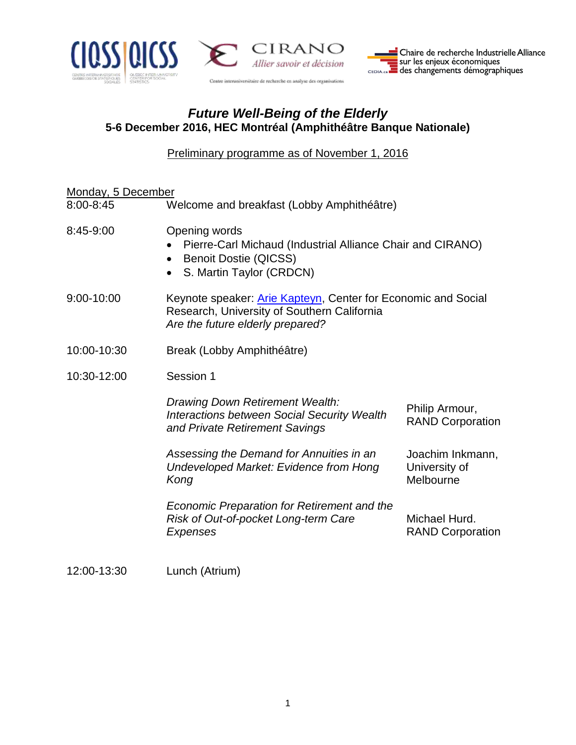



## *Future Well-Being of the Elderly* **5-6 December 2016, HEC Montréal (Amphithéâtre Banque Nationale)**

Preliminary programme as of November 1, 2016

| Monday, 5 December |                                                                                                                                                      |                                                |  |
|--------------------|------------------------------------------------------------------------------------------------------------------------------------------------------|------------------------------------------------|--|
| 8:00-8:45          | Welcome and breakfast (Lobby Amphithéâtre)                                                                                                           |                                                |  |
| 8:45-9:00          | Opening words<br>Pierre-Carl Michaud (Industrial Alliance Chair and CIRANO)<br><b>Benoit Dostie (QICSS)</b><br>S. Martin Taylor (CRDCN)<br>$\bullet$ |                                                |  |
| 9:00-10:00         | Keynote speaker: Arie Kapteyn, Center for Economic and Social<br>Research, University of Southern California<br>Are the future elderly prepared?     |                                                |  |
| 10:00-10:30        | Break (Lobby Amphithéâtre)                                                                                                                           |                                                |  |
| 10:30-12:00        | Session 1                                                                                                                                            |                                                |  |
|                    | Drawing Down Retirement Wealth:<br><b>Interactions between Social Security Wealth</b><br>and Private Retirement Savings                              | Philip Armour,<br><b>RAND Corporation</b>      |  |
|                    | Assessing the Demand for Annuities in an<br>Undeveloped Market: Evidence from Hong<br>Kong                                                           | Joachim Inkmann,<br>University of<br>Melbourne |  |
|                    | Economic Preparation for Retirement and the<br>Risk of Out-of-pocket Long-term Care<br>Expenses                                                      | Michael Hurd.<br><b>RAND Corporation</b>       |  |
| 12:00-13:30        | Lunch (Atrium)                                                                                                                                       |                                                |  |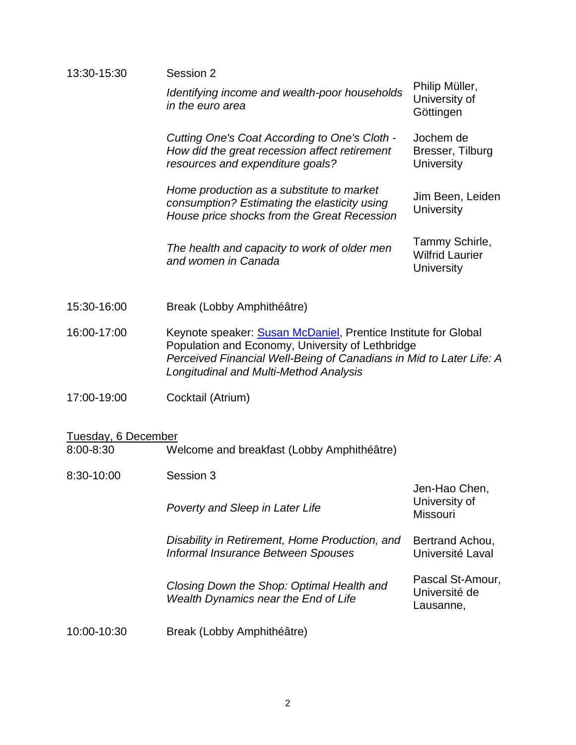| 13:30-15:30                             | Session 2                                                                                                                                                                                                                           |                                                        |  |
|-----------------------------------------|-------------------------------------------------------------------------------------------------------------------------------------------------------------------------------------------------------------------------------------|--------------------------------------------------------|--|
|                                         | Identifying income and wealth-poor households<br>in the euro area                                                                                                                                                                   | Philip Müller,<br>University of<br>Göttingen           |  |
|                                         | Cutting One's Coat According to One's Cloth -<br>How did the great recession affect retirement<br>resources and expenditure goals?                                                                                                  | Jochem de<br>Bresser, Tilburg<br><b>University</b>     |  |
|                                         | Home production as a substitute to market<br>consumption? Estimating the elasticity using<br>House price shocks from the Great Recession                                                                                            | Jim Been, Leiden<br><b>University</b>                  |  |
|                                         | The health and capacity to work of older men<br>and women in Canada                                                                                                                                                                 | Tammy Schirle,<br><b>Wilfrid Laurier</b><br>University |  |
| 15:30-16:00                             | Break (Lobby Amphithéâtre)                                                                                                                                                                                                          |                                                        |  |
| 16:00-17:00                             | Keynote speaker: Susan McDaniel, Prentice Institute for Global<br>Population and Economy, University of Lethbridge<br>Perceived Financial Well-Being of Canadians in Mid to Later Life: A<br>Longitudinal and Multi-Method Analysis |                                                        |  |
| 17:00-19:00                             | Cocktail (Atrium)                                                                                                                                                                                                                   |                                                        |  |
| <u>Tuesday, 6 December</u><br>8:00-8:30 |                                                                                                                                                                                                                                     |                                                        |  |
|                                         | Welcome and breakfast (Lobby Amphithéâtre)                                                                                                                                                                                          |                                                        |  |
| 8:30-10:00                              | Session 3                                                                                                                                                                                                                           | Jen-Hao Chen,                                          |  |
|                                         | Poverty and Sleep in Later Life                                                                                                                                                                                                     | University of<br><b>Missouri</b>                       |  |
|                                         | Disability in Retirement, Home Production, and<br>Informal Insurance Between Spouses                                                                                                                                                | Bertrand Achou,<br>Université Laval                    |  |
|                                         | Closing Down the Shop: Optimal Health and<br><b>Wealth Dynamics near the End of Life</b>                                                                                                                                            | Pascal St-Amour,<br>Université de<br>Lausanne,         |  |
| 10:00-10:30                             | Break (Lobby Amphithéâtre)                                                                                                                                                                                                          |                                                        |  |